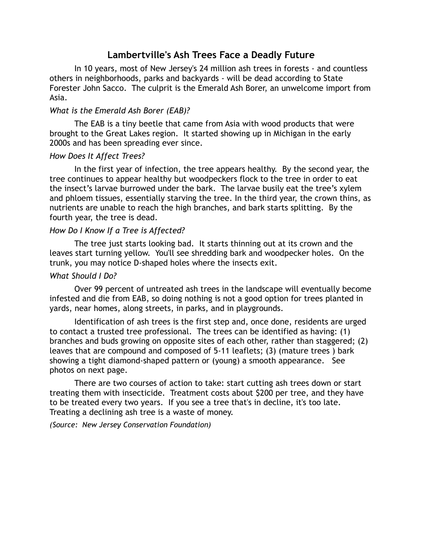# **Lambertville's Ash Trees Face a Deadly Future**

In 10 years, most of New Jersey's 24 million ash trees in forests - and countless others in neighborhoods, parks and backyards - will be dead according to State Forester John Sacco. The culprit is the Emerald Ash Borer, an unwelcome import from Asia.

## *What is the Emerald Ash Borer (EAB)?*

 The EAB is a tiny beetle that came from Asia with wood products that were brought to the Great Lakes region. It started showing up in Michigan in the early 2000s and has been spreading ever since.

#### *How Does It Affect Trees?*

 In the first year of infection, the tree appears healthy. By the second year, the tree continues to appear healthy but woodpeckers flock to the tree in order to eat the insect's larvae burrowed under the bark. The larvae busily eat the tree's xylem and phloem tissues, essentially starving the tree. In the third year, the crown thins, as nutrients are unable to reach the high branches, and bark starts splitting. By the fourth year, the tree is dead.

# *How Do I Know If a Tree is Affected?*

The tree just starts looking bad. It starts thinning out at its crown and the leaves start turning yellow. You'll see shredding bark and woodpecker holes. On the trunk, you may notice D-shaped holes where the insects exit.

#### *What Should I Do?*

 Over 99 percent of untreated ash trees in the landscape will eventually become infested and die from EAB, so doing nothing is not a good option for trees planted in yards, near homes, along streets, in parks, and in playgrounds.

Identification of ash trees is the first step and, once done, residents are urged to contact a trusted tree professional. The trees can be identified as having: (1) branches and buds growing on opposite sites of each other, rather than staggered; (2) leaves that are compound and composed of 5-11 leaflets; (3) (mature trees ) bark showing a tight diamond-shaped pattern or (young) a smooth appearance. See photos on next page.

There are two courses of action to take: start cutting ash trees down or start treating them with insecticide. Treatment costs about \$200 per tree, and they have to be treated every two years. If you see a tree that's in decline, it's too late. Treating a declining ash tree is a waste of money.

*(Source: New Jersey Conservation Foundation)*